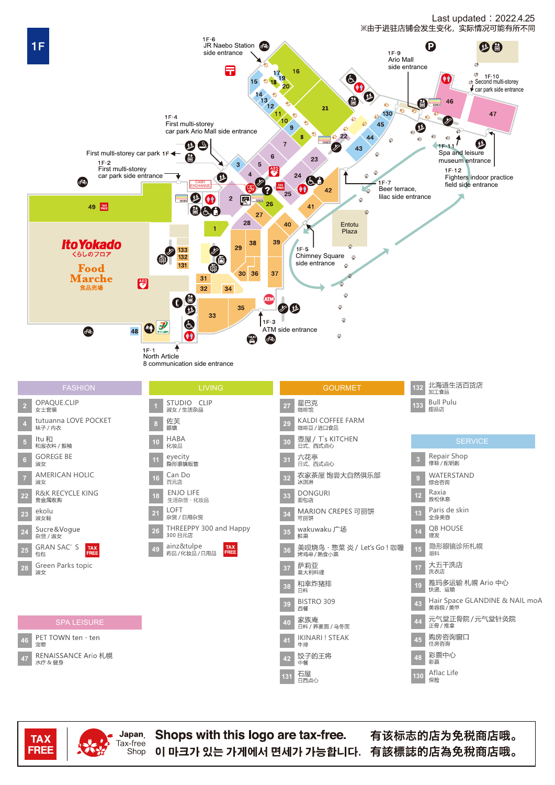



Japan **TAX** Tax-free **FREE** 

Shop

Shops with this logo are tax-free. 이 마크가 있는 가게에서 면세가 가능합니다. 有該標誌的店為免稅商店哦。

有该标志的店为免税商店哦。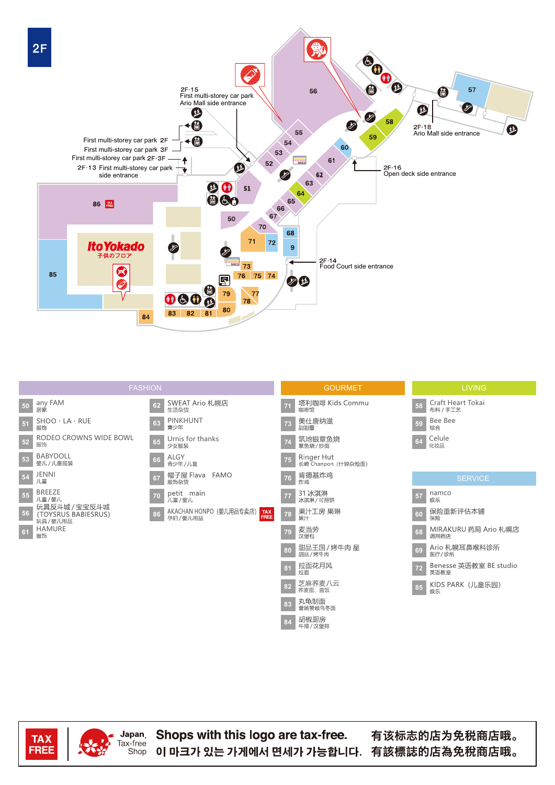



**TAX** FREE Japan

Tax-free

Shop

Shops with this logo are tax-free. 이 마크가 있는 가게에서 면세가 가능합니다. 有該標誌的店為免稅商店哦。

有该标志的店为免税商店哦。